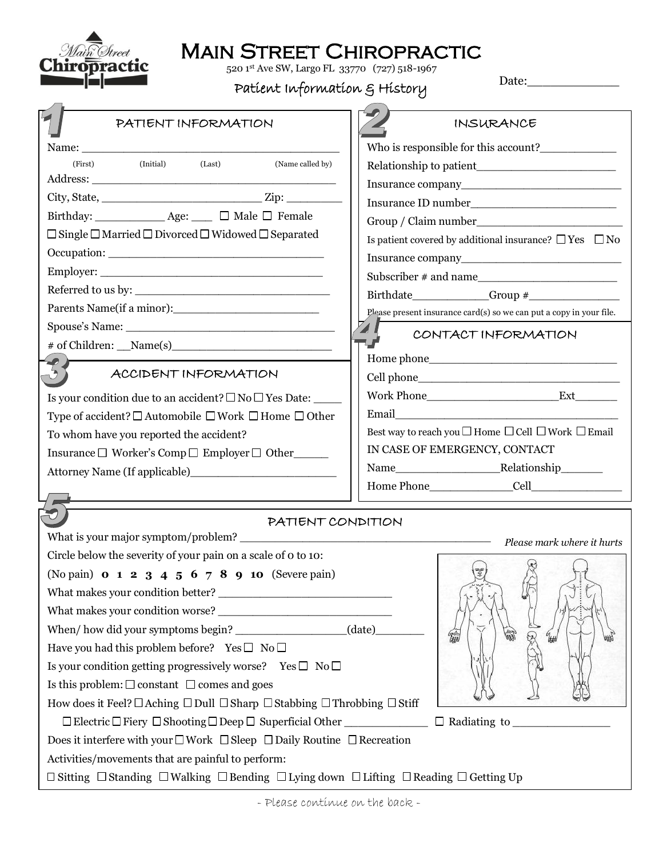

## **MAIN STREET CHIROPRACTIC**

520 1st Ave SW, Largo FL 33770 (727) 518-1967

Patient Information & History

| Date: |  |  |  |
|-------|--|--|--|
|       |  |  |  |

| INSURANCE                                                                                                       |  |  |  |
|-----------------------------------------------------------------------------------------------------------------|--|--|--|
| Who is responsible for this account?                                                                            |  |  |  |
|                                                                                                                 |  |  |  |
|                                                                                                                 |  |  |  |
|                                                                                                                 |  |  |  |
|                                                                                                                 |  |  |  |
| Is patient covered by additional insurance? $\Box$ Yes $\Box$ No                                                |  |  |  |
|                                                                                                                 |  |  |  |
| Subscriber # and name                                                                                           |  |  |  |
|                                                                                                                 |  |  |  |
| Please present insurance card(s) so we can put a copy in your file.                                             |  |  |  |
| CONTACT INFORMATION                                                                                             |  |  |  |
|                                                                                                                 |  |  |  |
|                                                                                                                 |  |  |  |
|                                                                                                                 |  |  |  |
|                                                                                                                 |  |  |  |
| Best way to reach you $\square$ Home $\square$ Cell $\square$ Work $\square$ Email                              |  |  |  |
| IN CASE OF EMERGENCY, CONTACT                                                                                   |  |  |  |
|                                                                                                                 |  |  |  |
|                                                                                                                 |  |  |  |
|                                                                                                                 |  |  |  |
| PATIENT CONDITION                                                                                               |  |  |  |
| Please mark where it hurts                                                                                      |  |  |  |
|                                                                                                                 |  |  |  |
| 雩                                                                                                               |  |  |  |
|                                                                                                                 |  |  |  |
|                                                                                                                 |  |  |  |
|                                                                                                                 |  |  |  |
| When/how did your symptoms begin? _________________________(date)_______________                                |  |  |  |
|                                                                                                                 |  |  |  |
|                                                                                                                 |  |  |  |
|                                                                                                                 |  |  |  |
| How does it Feel? $\Box$ Aching $\Box$ Dull $\Box$ Sharp $\Box$ Stabbing $\Box$ Throbbing $\Box$ Stiff          |  |  |  |
| $\Box$ Electric $\Box$ Fiery $\Box$ Shooting $\Box$ Deep $\Box$ Superficial Other<br>$\Box$ Radiating to $\Box$ |  |  |  |
| Does it interfere with your $\Box$ Work $\Box$ Sleep $\Box$ Daily Routine $\Box$ Recreation                     |  |  |  |
|                                                                                                                 |  |  |  |

 $\Box$  Sitting  $\Box$  Standing  $\Box$  Walking  $\Box$  Bending  $\Box$  Lying down  $\Box$  Lifting  $\Box$  Reading  $\Box$  Getting Up